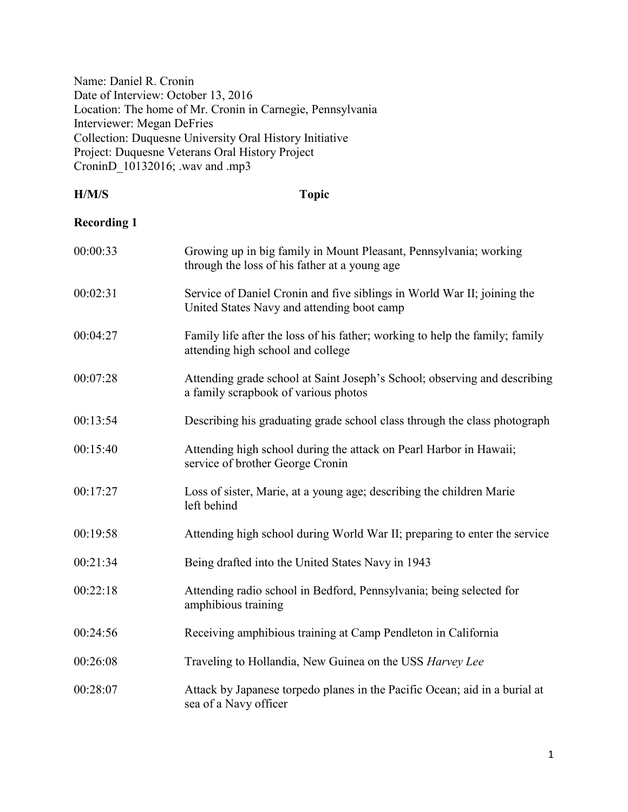Name: Daniel R. Cronin Date of Interview: October 13, 2016 Location: The home of Mr. Cronin in Carnegie, Pennsylvania Interviewer: Megan DeFries Collection: Duquesne University Oral History Initiative Project: Duquesne Veterans Oral History Project CroninD\_10132016; .wav and .mp3

## **H/M/S Topic**

## **Recording 1**

| 00:00:33 | Growing up in big family in Mount Pleasant, Pennsylvania; working<br>through the loss of his father at a young age    |
|----------|-----------------------------------------------------------------------------------------------------------------------|
| 00:02:31 | Service of Daniel Cronin and five siblings in World War II; joining the<br>United States Navy and attending boot camp |
| 00:04:27 | Family life after the loss of his father; working to help the family; family<br>attending high school and college     |
| 00:07:28 | Attending grade school at Saint Joseph's School; observing and describing<br>a family scrapbook of various photos     |
| 00:13:54 | Describing his graduating grade school class through the class photograph                                             |
| 00:15:40 | Attending high school during the attack on Pearl Harbor in Hawaii;<br>service of brother George Cronin                |
| 00:17:27 | Loss of sister, Marie, at a young age; describing the children Marie<br>left behind                                   |
| 00:19:58 | Attending high school during World War II; preparing to enter the service                                             |
| 00:21:34 | Being drafted into the United States Navy in 1943                                                                     |
| 00:22:18 | Attending radio school in Bedford, Pennsylvania; being selected for<br>amphibious training                            |
| 00:24:56 | Receiving amphibious training at Camp Pendleton in California                                                         |
| 00:26:08 | Traveling to Hollandia, New Guinea on the USS Harvey Lee                                                              |
| 00:28:07 | Attack by Japanese torpedo planes in the Pacific Ocean; aid in a burial at<br>sea of a Navy officer                   |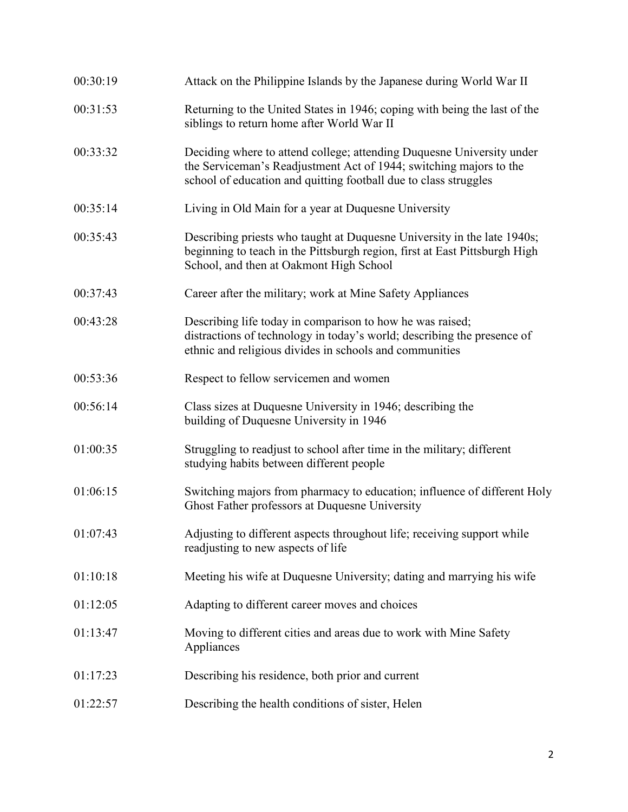| 00:30:19 | Attack on the Philippine Islands by the Japanese during World War II                                                                                                                                            |
|----------|-----------------------------------------------------------------------------------------------------------------------------------------------------------------------------------------------------------------|
| 00:31:53 | Returning to the United States in 1946; coping with being the last of the<br>siblings to return home after World War II                                                                                         |
| 00:33:32 | Deciding where to attend college; attending Duquesne University under<br>the Serviceman's Readjustment Act of 1944; switching majors to the<br>school of education and quitting football due to class struggles |
| 00:35:14 | Living in Old Main for a year at Duquesne University                                                                                                                                                            |
| 00:35:43 | Describing priests who taught at Duquesne University in the late 1940s;<br>beginning to teach in the Pittsburgh region, first at East Pittsburgh High<br>School, and then at Oakmont High School                |
| 00:37:43 | Career after the military; work at Mine Safety Appliances                                                                                                                                                       |
| 00:43:28 | Describing life today in comparison to how he was raised;<br>distractions of technology in today's world; describing the presence of<br>ethnic and religious divides in schools and communities                 |
| 00:53:36 | Respect to fellow servicemen and women                                                                                                                                                                          |
| 00:56:14 | Class sizes at Duquesne University in 1946; describing the<br>building of Duquesne University in 1946                                                                                                           |
| 01:00:35 | Struggling to readjust to school after time in the military; different<br>studying habits between different people                                                                                              |
| 01:06:15 | Switching majors from pharmacy to education; influence of different Holy<br>Ghost Father professors at Duquesne University                                                                                      |
| 01:07:43 | Adjusting to different aspects throughout life; receiving support while<br>readjusting to new aspects of life                                                                                                   |
| 01:10:18 | Meeting his wife at Duquesne University; dating and marrying his wife                                                                                                                                           |
| 01:12:05 | Adapting to different career moves and choices                                                                                                                                                                  |
| 01:13:47 | Moving to different cities and areas due to work with Mine Safety<br>Appliances                                                                                                                                 |
| 01:17:23 | Describing his residence, both prior and current                                                                                                                                                                |
| 01:22:57 | Describing the health conditions of sister, Helen                                                                                                                                                               |